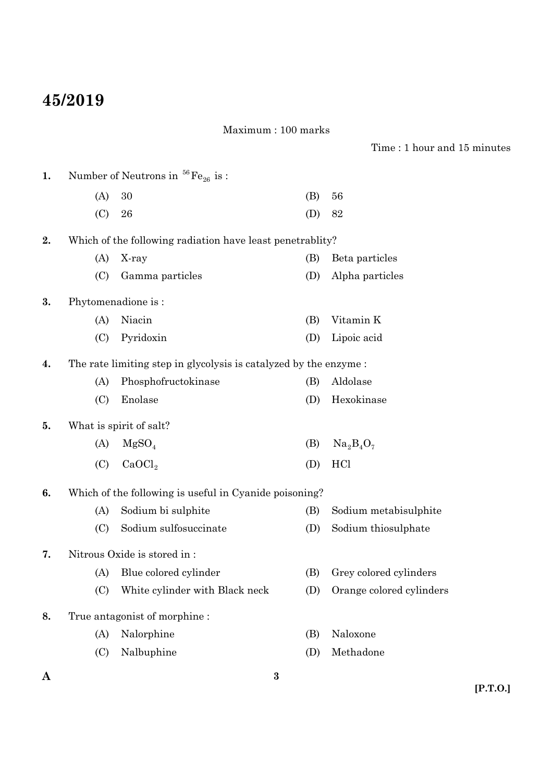## **45/2019**

## Maximum : 100 marks

Time : 1 hour and 15 minutes

| 1. |     | Number of Neutrons in ${}^{56}Fe_{26}$ is :                      |     |                          |
|----|-----|------------------------------------------------------------------|-----|--------------------------|
|    | (A) | 30                                                               | (B) | 56                       |
|    | (C) | 26                                                               | (D) | 82                       |
| 2. |     | Which of the following radiation have least penetrablity?        |     |                          |
|    | (A) | X-ray                                                            | (B) | Beta particles           |
|    | (C) | Gamma particles                                                  | (D) | Alpha particles          |
| 3. |     | Phytomenadione is:                                               |     |                          |
|    | (A) | Niacin                                                           | (B) | Vitamin K                |
|    | (C) | Pyridoxin                                                        | (D) | Lipoic acid              |
| 4. |     | The rate limiting step in glycolysis is catalyzed by the enzyme: |     |                          |
|    | (A) | Phosphofructokinase                                              | (B) | Aldolase                 |
|    | (C) | Enolase                                                          | (D) | Hexokinase               |
| 5. |     | What is spirit of salt?                                          |     |                          |
|    | (A) | MgSO <sub>4</sub>                                                | (B) | $Na2B4O7$                |
|    | (C) | CaOCl <sub>2</sub>                                               | (D) | HC <sub>1</sub>          |
| 6. |     | Which of the following is useful in Cyanide poisoning?           |     |                          |
|    | (A) | Sodium bi sulphite                                               | (B) | Sodium metabisulphite    |
|    | (C) | Sodium sulfosuccinate                                            | (D) | Sodium thiosulphate      |
| 7. |     | Nitrous Oxide is stored in:                                      |     |                          |
|    | (A) | Blue colored cylinder                                            | (B) | Grey colored cylinders   |
|    | (C) | White cylinder with Black neck                                   | (D) | Orange colored cylinders |
| 8. |     | True antagonist of morphine:                                     |     |                          |
|    | (A) | Nalorphine                                                       | (B) | Naloxone                 |
|    | (C) | Nalbuphine                                                       | (D) | Methadone                |

**3**

**A**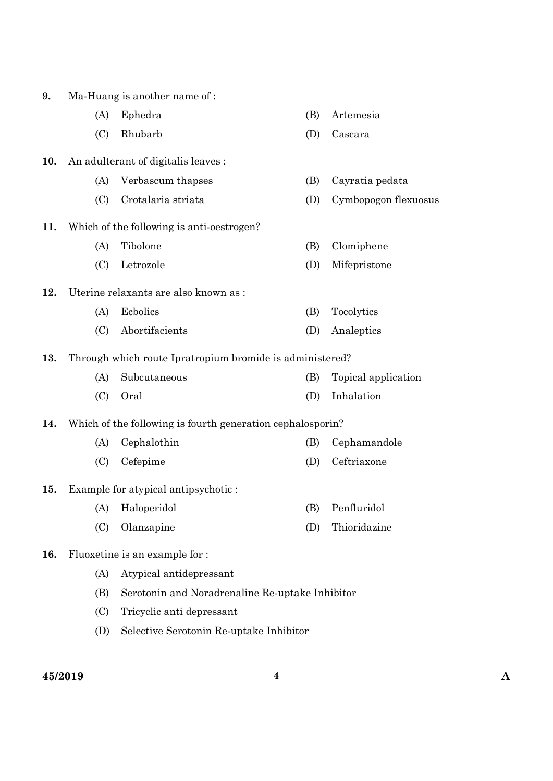| 9.  |     | Ma-Huang is another name of:                               |     |                      |
|-----|-----|------------------------------------------------------------|-----|----------------------|
|     | (A) | Ephedra                                                    | (B) | Artemesia            |
|     | (C) | Rhubarb                                                    | (D) | Cascara              |
| 10. |     | An adulterant of digitalis leaves :                        |     |                      |
|     | (A) | Verbascum thapses                                          | (B) | Cayratia pedata      |
|     | (C) | Crotalaria striata                                         | (D) | Cymbopogon flexuosus |
| 11. |     | Which of the following is anti-oestrogen?                  |     |                      |
|     | (A) | Tibolone                                                   | (B) | Clomiphene           |
|     | (C) | Letrozole                                                  | (D) | Mifepristone         |
| 12. |     | Uterine relaxants are also known as :                      |     |                      |
|     | (A) | Ecbolics                                                   | (B) | Tocolytics           |
|     | (C) | Abortifacients                                             | (D) | Analeptics           |
| 13. |     | Through which route Ipratropium bromide is administered?   |     |                      |
|     | (A) | Subcutaneous                                               | (B) | Topical application  |
|     | (C) | Oral                                                       | (D) | Inhalation           |
| 14. |     | Which of the following is fourth generation cephalosporin? |     |                      |
|     | (A) | Cephalothin                                                | (B) | Cephamandole         |
|     | (C) | Cefepime                                                   | (D) | Ceftriaxone          |
| 15. |     | Example for atypical antipsychotic:                        |     |                      |
|     | (A) | Haloperidol                                                | (B) | Penfluridol          |
|     | (C) | Olanzapine                                                 | (D) | Thioridazine         |
| 16. |     | Fluoxetine is an example for :                             |     |                      |
|     | (A) | Atypical antidepressant                                    |     |                      |
|     | (B) | Serotonin and Noradrenaline Re-uptake Inhibitor            |     |                      |
|     | (C) | Tricyclic anti depressant                                  |     |                      |

(D) Selective Serotonin Re-uptake Inhibitor

**45/2019 4 A**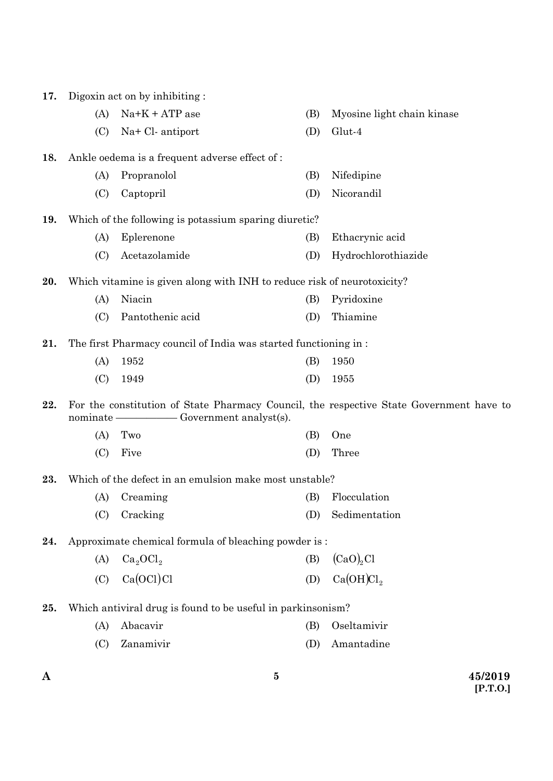| A   |            | $\bf{5}$                                                                |            | 45/2019                                                                                 |
|-----|------------|-------------------------------------------------------------------------|------------|-----------------------------------------------------------------------------------------|
|     | (C)        | Zanamivir                                                               | (D)        | Amantadine                                                                              |
|     | (A)        | Abacavir                                                                | (B)        | Oseltamivir                                                                             |
| 25. |            | Which antiviral drug is found to be useful in parkinsonism?             |            |                                                                                         |
|     | (C)        | Ca(OCl)Cl                                                               | (D)        | Ca(OH)Cl <sub>2</sub>                                                                   |
|     | (A)        | Ca <sub>2</sub> OCl <sub>2</sub>                                        | (B)        | (CaO) <sub>2</sub> Cl                                                                   |
| 24. |            | Approximate chemical formula of bleaching powder is:                    |            |                                                                                         |
|     |            |                                                                         |            |                                                                                         |
|     | (A)<br>(C) | Creaming<br>Cracking                                                    | (B)<br>(D) | Flocculation<br>Sedimentation                                                           |
| 23. |            | Which of the defect in an emulsion make most unstable?                  |            |                                                                                         |
|     |            |                                                                         |            |                                                                                         |
|     | (C)        | Five                                                                    | (D)        | Three                                                                                   |
|     | (A)        | Two                                                                     | (B)        | One                                                                                     |
| 22. | nominate - | Government analyst(s).                                                  |            | For the constitution of State Pharmacy Council, the respective State Government have to |
|     | (C)        | 1949                                                                    | (D)        | 1955                                                                                    |
|     | (A)        | 1952                                                                    | (B)        | 1950                                                                                    |
| 21. |            | The first Pharmacy council of India was started functioning in:         |            |                                                                                         |
|     | (C)        | Pantothenic acid                                                        | (D)        | Thiamine                                                                                |
|     | (A)        | Niacin                                                                  | (B)        | Pyridoxine                                                                              |
| 20. |            | Which vitamine is given along with INH to reduce risk of neurotoxicity? |            |                                                                                         |
|     |            |                                                                         |            |                                                                                         |
|     | (C)        | Acetazolamide                                                           | (D)        | Hydrochlorothiazide                                                                     |
| 19. | (A)        | Which of the following is potassium sparing diuretic?<br>Eplerenone     | (B)        | Ethacrynic acid                                                                         |
|     |            |                                                                         |            |                                                                                         |
|     | (C)        | Captopril                                                               | (D)        | Nicorandil                                                                              |
|     | (A)        | Propranolol                                                             | (B)        | Nifedipine                                                                              |
| 18. |            | Ankle oedema is a frequent adverse effect of :                          |            |                                                                                         |
|     | (C)        | Na+ Cl- antiport                                                        | (D)        | Glut-4                                                                                  |
|     | (A)        | $Na+K+ATP$ ase                                                          | (B)        | Myosine light chain kinase                                                              |
| 17. |            | Digoxin act on by inhibiting :                                          |            |                                                                                         |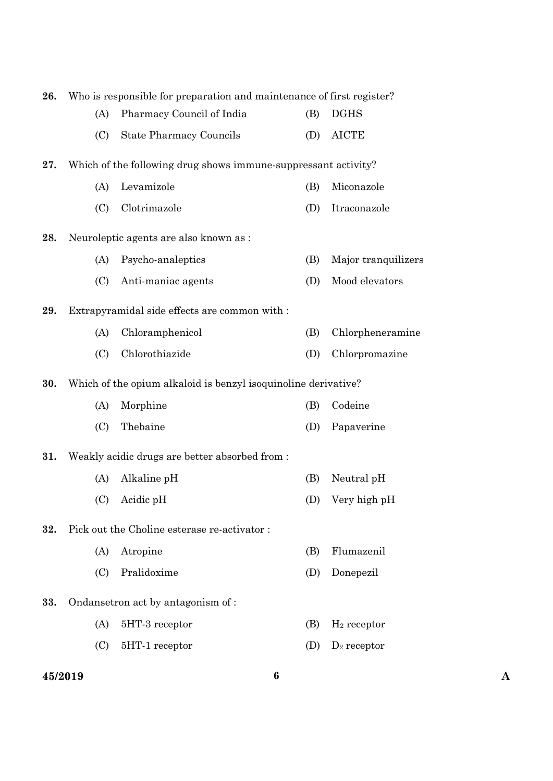| 26. | Who is responsible for preparation and maintenance of first register? |                                                                |     |                     |  |
|-----|-----------------------------------------------------------------------|----------------------------------------------------------------|-----|---------------------|--|
|     | (A)                                                                   | Pharmacy Council of India                                      | (B) | <b>DGHS</b>         |  |
|     | (C)                                                                   | <b>State Pharmacy Councils</b>                                 | (D) | <b>AICTE</b>        |  |
| 27. |                                                                       | Which of the following drug shows immune-suppressant activity? |     |                     |  |
|     | (A)                                                                   | Levamizole                                                     | (B) | Miconazole          |  |
|     | (C)                                                                   | Clotrimazole                                                   | (D) | Itraconazole        |  |
| 28. |                                                                       | Neuroleptic agents are also known as :                         |     |                     |  |
|     | (A)                                                                   | Psycho-analeptics                                              | (B) | Major tranquilizers |  |
|     | (C)                                                                   | Anti-maniac agents                                             | (D) | Mood elevators      |  |
| 29. |                                                                       | Extrapyramidal side effects are common with :                  |     |                     |  |
|     | (A)                                                                   | Chloramphenicol                                                | (B) | Chlorpheneramine    |  |
|     | (C)                                                                   | Chlorothiazide                                                 | (D) | Chlorpromazine      |  |
| 30. |                                                                       | Which of the opium alkaloid is benzyl isoquinoline derivative? |     |                     |  |
|     | (A)                                                                   | Morphine                                                       | (B) | Codeine             |  |
|     | (C)                                                                   | Thebaine                                                       | (D) | Papaverine          |  |
| 31. |                                                                       | Weakly acidic drugs are better absorbed from :                 |     |                     |  |
|     | (A)                                                                   | Alkaline pH                                                    | (B) | Neutral pH          |  |
|     | (C)                                                                   | Acidic pH                                                      | (D) | Very high pH        |  |
| 32. |                                                                       | Pick out the Choline esterase re-activator:                    |     |                     |  |
|     | (A)                                                                   | Atropine                                                       | (B) | Flumazenil          |  |
|     | (C)                                                                   | Pralidoxime                                                    | (D) | Donepezil           |  |
| 33. |                                                                       | Ondansetron act by antagonism of:                              |     |                     |  |
|     | (A)                                                                   | 5HT-3 receptor                                                 | (B) | $H_2$ receptor      |  |
|     | (C)                                                                   | 5HT-1 receptor                                                 | (D) | $D_2$ receptor      |  |
|     |                                                                       |                                                                |     |                     |  |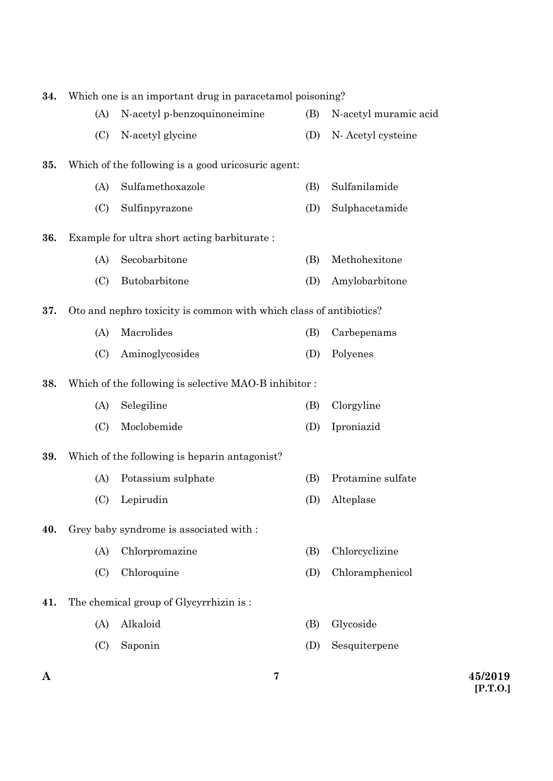| 34. | Which one is an important drug in paracetamol poisoning? |                                                                    |     |                       |
|-----|----------------------------------------------------------|--------------------------------------------------------------------|-----|-----------------------|
|     | (A)                                                      | N-acetyl p-benzoquinoneimine                                       | (B) | N-acetyl muramic acid |
|     | (C)                                                      | N-acetyl glycine                                                   | (D) | N-Acetyl cysteine     |
| 35. |                                                          | Which of the following is a good uricosuric agent:                 |     |                       |
|     | (A)                                                      | Sulfamethoxazole                                                   | (B) | Sulfanilamide         |
|     | (C)                                                      | Sulfinpyrazone                                                     | (D) | Sulphacetamide        |
| 36. |                                                          | Example for ultra short acting barbiturate:                        |     |                       |
|     | (A)                                                      | Secobarbitone                                                      | (B) | Methohexitone         |
|     | (C)                                                      | Butobarbitone                                                      | (D) | Amylobarbitone        |
| 37. |                                                          | Oto and nephro toxicity is common with which class of antibiotics? |     |                       |
|     | (A)                                                      | Macrolides                                                         | (B) | Carbepenams           |
|     | (C)                                                      | Aminoglycosides                                                    | (D) | Polyenes              |
| 38. |                                                          | Which of the following is selective MAO-B inhibitor:               |     |                       |
|     | (A)                                                      | Selegiline                                                         | (B) | Clorgyline            |
|     | (C)                                                      | Moclobemide                                                        | (D) | Iproniazid            |
| 39. |                                                          | Which of the following is heparin antagonist?                      |     |                       |
|     | (A)                                                      | Potassium sulphate                                                 | (B) | Protamine sulfate     |
|     | (C)                                                      | Lepirudin                                                          | (D) | Alteplase             |
| 40. |                                                          | Grey baby syndrome is associated with :                            |     |                       |
|     | (A)                                                      | Chlorpromazine                                                     | (B) | Chlorcyclizine        |
|     | (C)                                                      | Chloroquine                                                        | (D) | Chloramphenicol       |
| 41. |                                                          | The chemical group of Glycyrrhizin is:                             |     |                       |
|     | (A)                                                      | Alkaloid                                                           | (B) | Glycoside             |
|     | (C)                                                      | Saponin                                                            | (D) | Sesquiterpene         |
|     |                                                          |                                                                    |     |                       |

**7**

**[P.T.O.]**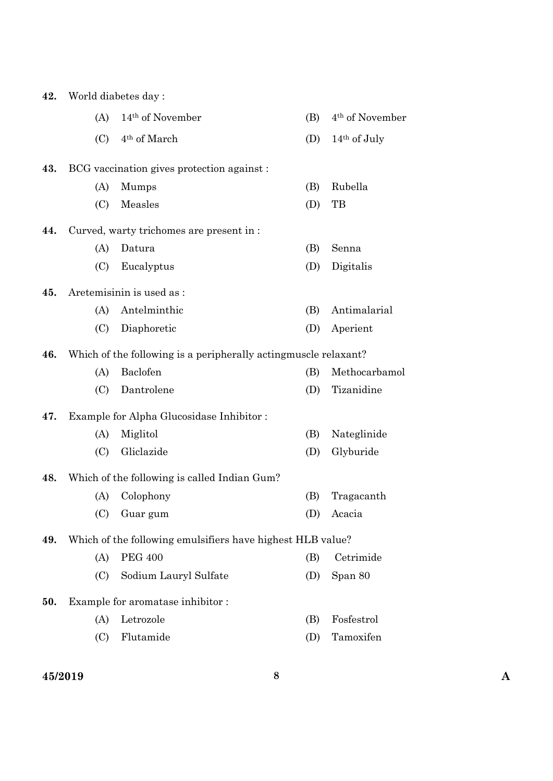| 42. |     | World diabetes day:                                              |     |                             |
|-----|-----|------------------------------------------------------------------|-----|-----------------------------|
|     | (A) | 14 <sup>th</sup> of November                                     | (B) | 4 <sup>th</sup> of November |
|     | (C) | 4 <sup>th</sup> of March                                         | (D) | 14 <sup>th</sup> of July    |
| 43. |     | BCG vaccination gives protection against:                        |     |                             |
|     | (A) | Mumps                                                            | (B) | Rubella                     |
|     | (C) | Measles                                                          | (D) | TB                          |
| 44. |     | Curved, warty trichomes are present in :                         |     |                             |
|     | (A) | Datura                                                           | (B) | Senna                       |
|     | (C) | Eucalyptus                                                       | (D) | Digitalis                   |
| 45. |     | Aretemisinin is used as :                                        |     |                             |
|     | (A) | Antelminthic                                                     | (B) | Antimalarial                |
|     | (C) | Diaphoretic                                                      | (D) | Aperient                    |
| 46. |     | Which of the following is a peripherally acting muscle relaxant? |     |                             |
|     | (A) | Baclofen                                                         | (B) | Methocarbamol               |
|     | (C) | Dantrolene                                                       | (D) | Tizanidine                  |
| 47. |     | Example for Alpha Glucosidase Inhibitor:                         |     |                             |
|     | (A) | Miglitol                                                         | (B) | Nateglinide                 |
|     | (C) | Gliclazide                                                       | (D) | Glyburide                   |
| 48. |     | Which of the following is called Indian Gum?                     |     |                             |
|     | (A) | Colophony                                                        | (B) | Tragacanth                  |
|     | (C) | Guar gum                                                         | (D) | Acacia                      |
| 49. |     | Which of the following emulsifiers have highest HLB value?       |     |                             |
|     | (A) | <b>PEG 400</b>                                                   | (B) | Cetrimide                   |
|     | (C) | Sodium Lauryl Sulfate                                            | (D) | Span 80                     |
| 50. |     | Example for aromatase inhibitor:                                 |     |                             |
|     | (A) | Letrozole                                                        | (B) | Fosfestrol                  |
|     | (C) | Flutamide                                                        | (D) | Tamoxifen                   |
|     |     |                                                                  |     |                             |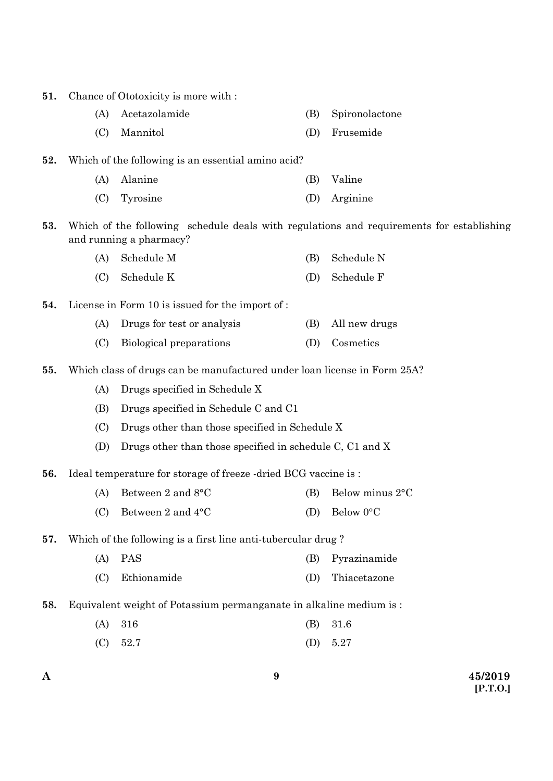| 51. |     | Chance of Ototoxicity is more with :                                     |     |                                                                                          |
|-----|-----|--------------------------------------------------------------------------|-----|------------------------------------------------------------------------------------------|
|     | (A) | Acetazolamide                                                            | (B) | Spironolactone                                                                           |
|     | (C) | Mannitol                                                                 | (D) | Frusemide                                                                                |
| 52. |     | Which of the following is an essential amino acid?                       |     |                                                                                          |
|     | (A) | Alanine                                                                  | (B) | Valine                                                                                   |
|     | (C) | Tyrosine                                                                 | (D) | Arginine                                                                                 |
| 53. |     | and running a pharmacy?                                                  |     | Which of the following schedule deals with regulations and requirements for establishing |
|     | (A) | Schedule M                                                               | (B) | Schedule N                                                                               |
|     | (C) | Schedule K                                                               | (D) | Schedule F                                                                               |
| 54. |     | License in Form 10 is issued for the import of :                         |     |                                                                                          |
|     | (A) | Drugs for test or analysis                                               | (B) | All new drugs                                                                            |
|     | (C) | Biological preparations                                                  | (D) | Cosmetics                                                                                |
| 55. |     | Which class of drugs can be manufactured under loan license in Form 25A? |     |                                                                                          |
|     | (A) | Drugs specified in Schedule X                                            |     |                                                                                          |
|     | (B) | Drugs specified in Schedule C and C1                                     |     |                                                                                          |
|     | (C) | Drugs other than those specified in Schedule X                           |     |                                                                                          |
|     | (D) | Drugs other than those specified in schedule C, C1 and X                 |     |                                                                                          |
| 56. |     | Ideal temperature for storage of freeze -dried BCG vaccine is :          |     |                                                                                          |
|     | (A) | Between 2 and 8°C                                                        | (B) | Below minus 2°C                                                                          |
|     | (C) | Between 2 and 4°C                                                        | (D) | Below 0°C                                                                                |
| 57. |     | Which of the following is a first line anti-tubercular drug?             |     |                                                                                          |
|     | (A) | <b>PAS</b>                                                               | (B) | Pyrazinamide                                                                             |
|     | (C) | Ethionamide                                                              | (D) | Thiacetazone                                                                             |
| 58. |     | Equivalent weight of Potassium permanganate in alkaline medium is:       |     |                                                                                          |
|     | (A) | 316                                                                      | (B) | 31.6                                                                                     |
|     | (C) | 52.7                                                                     | (D) | 5.27                                                                                     |
|     |     |                                                                          |     |                                                                                          |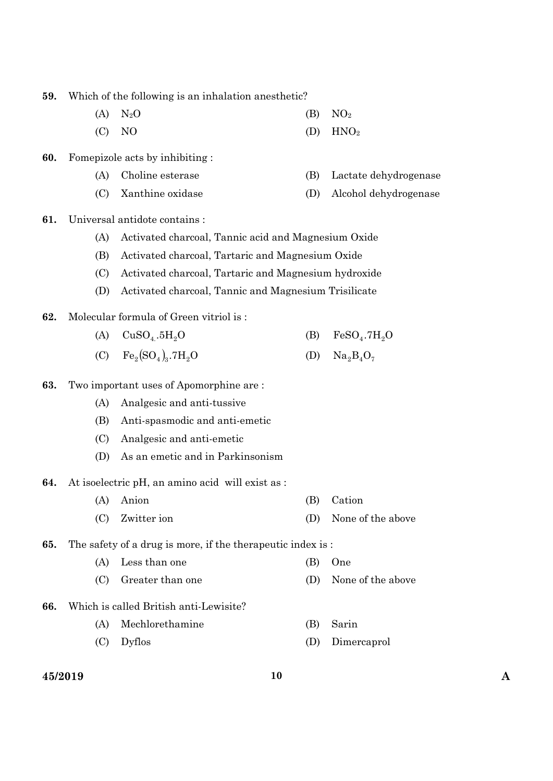**59.** Which of the following is an inhalation anesthetic?

- (A)  $N_2O$  (B)  $NO_2$
- $(D) \quad NO$  (D)  $HNO<sub>2</sub>$
- **60.** Fomepizole acts by inhibiting :
	- (A) Choline esterase (B) Lactate dehydrogenase
	- (C) Xanthine oxidase (D) Alcohol dehydrogenase

**61.** Universal antidote contains :

- (A) Activated charcoal, Tannic acid and Magnesium Oxide
- (B) Activated charcoal, Tartaric and Magnesium Oxide
- (C) Activated charcoal, Tartaric and Magnesium hydroxide
- (D) Activated charcoal, Tannic and Magnesium Trisilicate
- **62.** Molecular formula of Green vitriol is :
	- (A)  $CuSO_4.5H_2O$  (B)  $FeSO_4.7H_2O$
	- (C)  $Fe_2(SO_4)_3.7H_2O$  (D)  $Na_2B_4O_7$
- **63.** Two important uses of Apomorphine are :
	- (A) Analgesic and anti-tussive
	- (B) Anti-spasmodic and anti-emetic
	- (C) Analgesic and anti-emetic
	- (D) As an emetic and in Parkinsonism
- **64.** At isoelectric pH, an amino acid will exist as :
	- (A) Anion (B) Cation
	- (C) Zwitter ion (D) None of the above

**65.** The safety of a drug is more, if the therapeutic index is :

- (A) Less than one (B) One
- (C) Greater than one (D) None of the above
- **66.** Which is called British anti-Lewisite?
	- (A) Mechlorethamine (B) Sarin
	- (C) Dyflos (D) Dimercaprol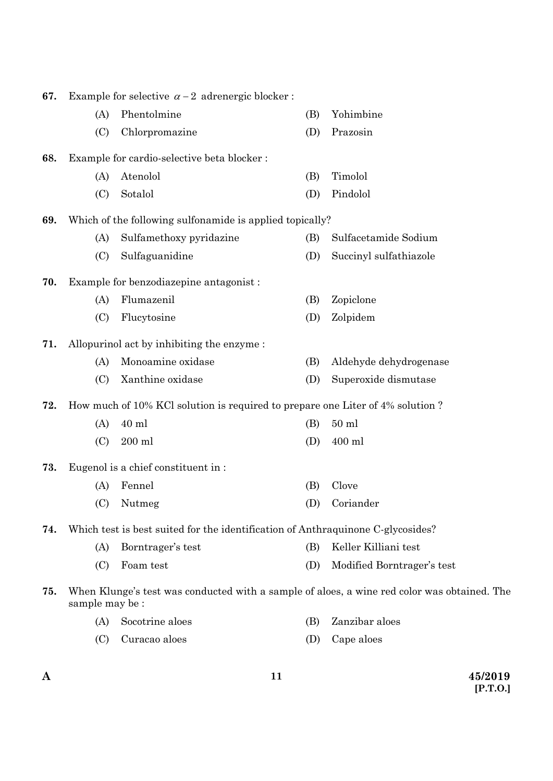| 67. |                | Example for selective $\alpha - 2$ adrenergic blocker:                          |     |                                                                                             |
|-----|----------------|---------------------------------------------------------------------------------|-----|---------------------------------------------------------------------------------------------|
|     | (A)            | Phentolmine                                                                     | (B) | Yohimbine                                                                                   |
|     | (C)            | Chlorpromazine                                                                  | (D) | Prazosin                                                                                    |
| 68. |                | Example for cardio-selective beta blocker:                                      |     |                                                                                             |
|     | (A)            | Atenolol                                                                        | (B) | Timolol                                                                                     |
|     | (C)            | Sotalol                                                                         | (D) | Pindolol                                                                                    |
| 69. |                | Which of the following sulfonamide is applied topically?                        |     |                                                                                             |
|     | (A)            | Sulfamethoxy pyridazine                                                         | (B) | Sulfacetamide Sodium                                                                        |
|     | (C)            | Sulfaguanidine                                                                  | (D) | Succinyl sulfathiazole                                                                      |
| 70. |                | Example for benzodiazepine antagonist:                                          |     |                                                                                             |
|     | (A)            | Flumazenil                                                                      | (B) | Zopiclone                                                                                   |
|     | (C)            | Flucytosine                                                                     | (D) | Zolpidem                                                                                    |
| 71. |                | Allopurinol act by inhibiting the enzyme:                                       |     |                                                                                             |
|     | (A)            | Monoamine oxidase                                                               | (B) | Aldehyde dehydrogenase                                                                      |
|     | (C)            | Xanthine oxidase                                                                | (D) | Superoxide dismutase                                                                        |
| 72. |                | How much of 10% KCl solution is required to prepare one Liter of 4% solution?   |     |                                                                                             |
|     | (A)            | 40 ml                                                                           | (B) | $50$ ml                                                                                     |
|     | (C)            | $200\;{\rm ml}$                                                                 | (D) | 400 ml                                                                                      |
| 73. |                | Eugenol is a chief constituent in:                                              |     |                                                                                             |
|     | (A)            | Fennel                                                                          | (B) | Clove                                                                                       |
|     | (C)            | Nutmeg                                                                          | (D) | Coriander                                                                                   |
| 74. |                | Which test is best suited for the identification of Anthraquinone C-glycosides? |     |                                                                                             |
|     | (A)            | Borntrager's test                                                               | (B) | Keller Killiani test                                                                        |
|     | (C)            | Foam test                                                                       | (D) | Modified Borntrager's test                                                                  |
| 75. | sample may be: |                                                                                 |     | When Klunge's test was conducted with a sample of aloes, a wine red color was obtained. The |
|     | (A)            | Socotrine aloes                                                                 | (B) | Zanzibar aloes                                                                              |
|     | (C)            | Curacao aloes                                                                   | (D) | Cape aloes                                                                                  |

**11**

**A 45/2019 [P.T.O.]**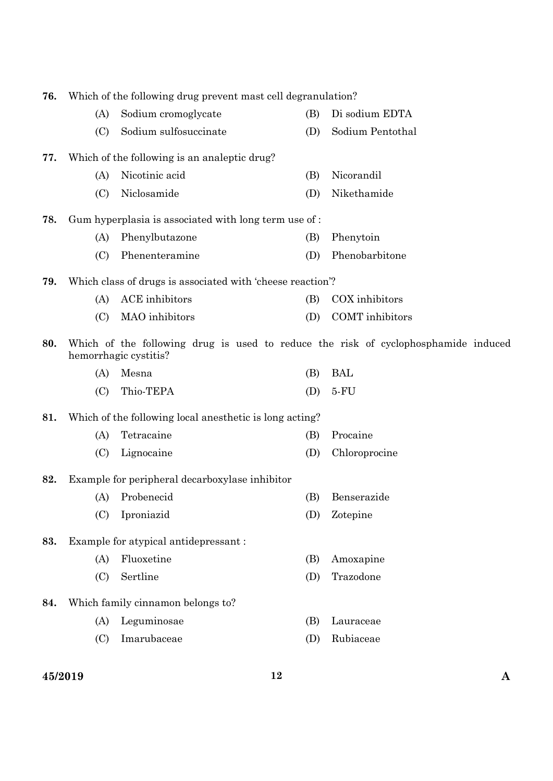| 76. | Which of the following drug prevent mast cell degranulation? |                                                            |     |                                                                                    |  |  |
|-----|--------------------------------------------------------------|------------------------------------------------------------|-----|------------------------------------------------------------------------------------|--|--|
|     | (A)                                                          | Sodium cromoglycate                                        | (B) | Di sodium EDTA                                                                     |  |  |
|     | (C)                                                          | Sodium sulfosuccinate                                      | (D) | Sodium Pentothal                                                                   |  |  |
| 77. |                                                              | Which of the following is an analeptic drug?               |     |                                                                                    |  |  |
|     | (A)                                                          | Nicotinic acid                                             | (B) | Nicorandil                                                                         |  |  |
|     | (C)                                                          | Niclosamide                                                | (D) | Nikethamide                                                                        |  |  |
| 78. |                                                              | Gum hyperplasia is associated with long term use of:       |     |                                                                                    |  |  |
|     | (A)                                                          | Phenylbutazone                                             | (B) | Phenytoin                                                                          |  |  |
|     | (C)                                                          | Phenenteramine                                             | (D) | Phenobarbitone                                                                     |  |  |
| 79. |                                                              | Which class of drugs is associated with 'cheese reaction'? |     |                                                                                    |  |  |
|     | (A)                                                          | <b>ACE</b> inhibitors                                      | (B) | COX inhibitors                                                                     |  |  |
|     | (C)                                                          | MAO inhibitors                                             | (D) | COMT inhibitors                                                                    |  |  |
| 80. |                                                              | hemorrhagic cystitis?                                      |     | Which of the following drug is used to reduce the risk of cyclophosphamide induced |  |  |
|     | (A)                                                          | Mesna                                                      | (B) | <b>BAL</b>                                                                         |  |  |
|     | (C)                                                          | Thio-TEPA                                                  | (D) | $5-FU$                                                                             |  |  |
| 81. |                                                              | Which of the following local anesthetic is long acting?    |     |                                                                                    |  |  |
|     | (A)                                                          | Tetracaine                                                 | (B) | Procaine                                                                           |  |  |
|     | (C)                                                          | Lignocaine                                                 | (D) | Chloroprocine                                                                      |  |  |
| 82. |                                                              | Example for peripheral decarboxylase inhibitor             |     |                                                                                    |  |  |
|     | (A)                                                          | Probenecid                                                 | (B) | Benserazide                                                                        |  |  |
|     | (C)                                                          | Iproniazid                                                 | (D) | Zotepine                                                                           |  |  |
| 83. |                                                              | Example for atypical antidepressant:                       |     |                                                                                    |  |  |
|     | (A)                                                          | Fluoxetine                                                 | (B) | Amoxapine                                                                          |  |  |
|     | (C)                                                          | Sertline                                                   | (D) | Trazodone                                                                          |  |  |
| 84. |                                                              | Which family cinnamon belongs to?                          |     |                                                                                    |  |  |
|     | (A)                                                          | Leguminosae                                                | (B) | Lauraceae                                                                          |  |  |
|     | (C)                                                          | Imarubaceae                                                | (D) | Rubiaceae                                                                          |  |  |
|     |                                                              |                                                            |     |                                                                                    |  |  |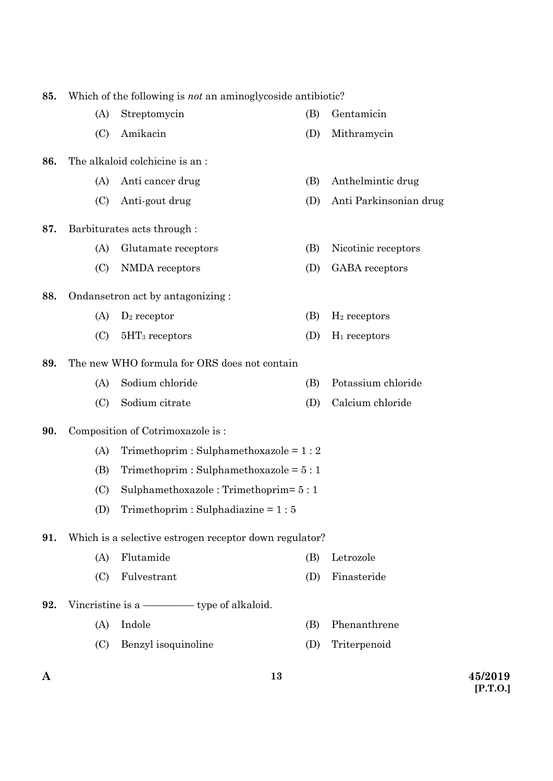| 85. | Which of the following is <i>not</i> an aminogly coside antibiotic? |                                                        |     |                        |  |
|-----|---------------------------------------------------------------------|--------------------------------------------------------|-----|------------------------|--|
|     | (A)                                                                 | Streptomycin                                           | (B) | Gentamicin             |  |
|     | (C)                                                                 | Amikacin                                               | (D) | Mithramycin            |  |
| 86. |                                                                     | The alkaloid colchicine is an:                         |     |                        |  |
|     | (A)                                                                 | Anti cancer drug                                       | (B) | Anthelmintic drug      |  |
|     | (C)                                                                 | Anti-gout drug                                         | (D) | Anti Parkinsonian drug |  |
| 87. |                                                                     | Barbiturates acts through :                            |     |                        |  |
|     | (A)                                                                 | Glutamate receptors                                    | (B) | Nicotinic receptors    |  |
|     | (C)                                                                 | NMDA receptors                                         | (D) | <b>GABA</b> receptors  |  |
| 88. |                                                                     | Ondansetron act by antagonizing:                       |     |                        |  |
|     | (A)                                                                 | $D_2$ receptor                                         | (B) | $H_2$ receptors        |  |
|     | (C)                                                                 | $5HT_3$ receptors                                      | (D) | $H_1$ receptors        |  |
| 89. |                                                                     | The new WHO formula for ORS does not contain           |     |                        |  |
|     | (A)                                                                 | Sodium chloride                                        | (B) | Potassium chloride     |  |
|     | (C)                                                                 | Sodium citrate                                         | (D) | Calcium chloride       |  |
| 90. |                                                                     | Composition of Cotrimoxazole is:                       |     |                        |  |
|     | (A)                                                                 | Trimethoprim: Sulphamethoxazole = $1:2$                |     |                        |  |
|     | (B)                                                                 | Trimethoprim: Sulphamethoxazole = $5:1$                |     |                        |  |
|     | (C)                                                                 | Sulphamethoxazole: Trimethoprim= 5:1                   |     |                        |  |
|     | (D)                                                                 | Trimethoprim: Sulphadiazine = $1:5$                    |     |                        |  |
| 91. |                                                                     | Which is a selective estrogen receptor down regulator? |     |                        |  |
|     | (A)                                                                 | Flutamide                                              | (B) | Letrozole              |  |
|     | (C)                                                                 | Fulvestrant                                            | (D) | Finasteride            |  |
| 92. |                                                                     | Vincristine is a — type of alkaloid.                   |     |                        |  |
|     | (A)                                                                 | Indole                                                 | (B) | Phenanthrene           |  |
|     | (C)                                                                 | Benzyl isoquinoline                                    | (D) | Triterpenoid           |  |

**13**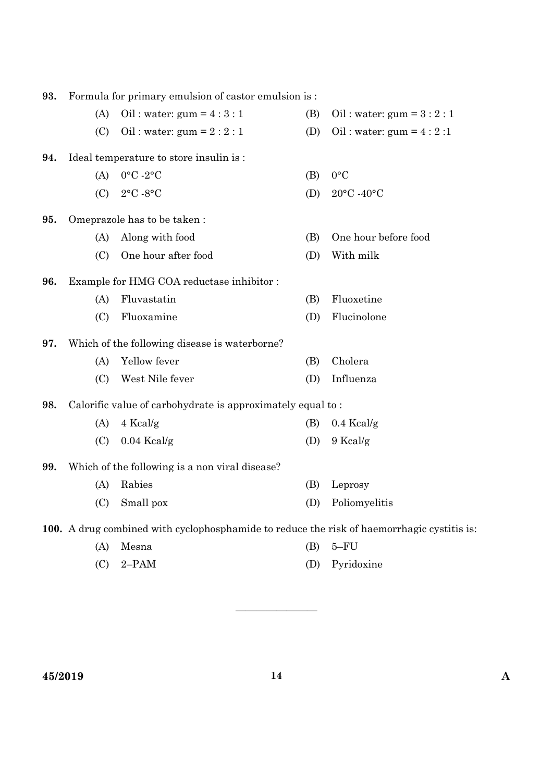| 93. | Formula for primary emulsion of castor emulsion is: |                                                                                            |     |                           |  |  |  |
|-----|-----------------------------------------------------|--------------------------------------------------------------------------------------------|-----|---------------------------|--|--|--|
|     | (A)                                                 | Oil: water: $gum = 4:3:1$                                                                  | (B) | Oil: water: $gum = 3:2:1$ |  |  |  |
|     | (C)                                                 | Oil: water: $gum = 2:2:1$                                                                  | (D) | Oil: water: gum = $4:2:1$ |  |  |  |
| 94. |                                                     | Ideal temperature to store insulin is:                                                     |     |                           |  |  |  |
|     | (A)                                                 | $0^{\circ}$ C -2°C                                                                         | (B) | $0^{\circ}C$              |  |  |  |
|     | (C)                                                 | $2^{\circ}$ C -8°C                                                                         | (D) | 20°C -40°C                |  |  |  |
| 95. |                                                     | Omeprazole has to be taken:                                                                |     |                           |  |  |  |
|     | (A)                                                 | Along with food                                                                            | (B) | One hour before food      |  |  |  |
|     | (C)                                                 | One hour after food                                                                        | (D) | With milk                 |  |  |  |
| 96. |                                                     | Example for HMG COA reductase inhibitor:                                                   |     |                           |  |  |  |
|     | (A)                                                 | Fluvastatin                                                                                | (B) | Fluoxetine                |  |  |  |
|     | (C)                                                 | Fluoxamine                                                                                 | (D) | Flucinolone               |  |  |  |
| 97. |                                                     | Which of the following disease is waterborne?                                              |     |                           |  |  |  |
|     | (A)                                                 | Yellow fever                                                                               | (B) | Cholera                   |  |  |  |
|     | (C)                                                 | West Nile fever                                                                            | (D) | Influenza                 |  |  |  |
| 98. |                                                     | Calorific value of carbohydrate is approximately equal to:                                 |     |                           |  |  |  |
|     | (A)                                                 | 4 Kcal/g                                                                                   | (B) | $0.4$ Kcal/g              |  |  |  |
|     | (C)                                                 | $0.04$ Kcal/g                                                                              | (D) | 9 Kcal/g                  |  |  |  |
| 99. |                                                     | Which of the following is a non viral disease?                                             |     |                           |  |  |  |
|     | (A)                                                 | Rabies                                                                                     | (B) | Leprosy                   |  |  |  |
|     | (C)                                                 | Small pox                                                                                  | (D) | Poliomyelitis             |  |  |  |
|     |                                                     | 100. A drug combined with cyclophosphamide to reduce the risk of haemorrhagic cystitis is: |     |                           |  |  |  |
|     | (A)                                                 | Mesna                                                                                      | (B) | $5-FU$                    |  |  |  |

(C) 2–PAM (D) Pyridoxine

————————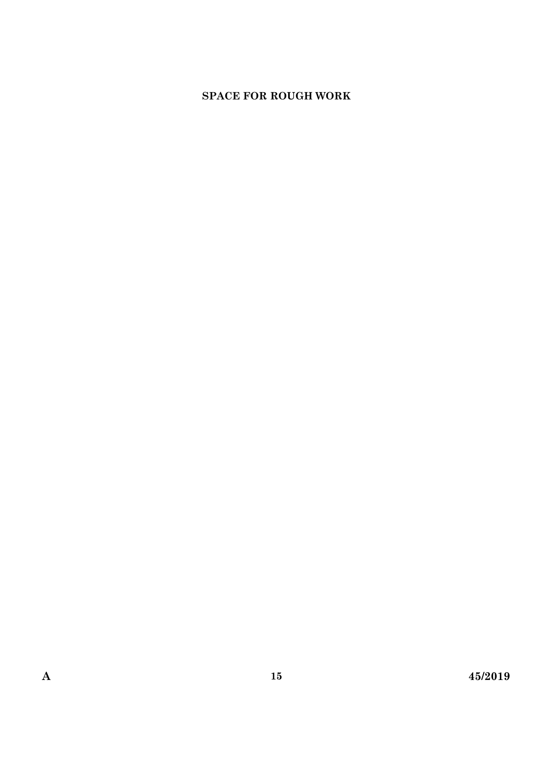## **SPACE FOR ROUGH WORK**